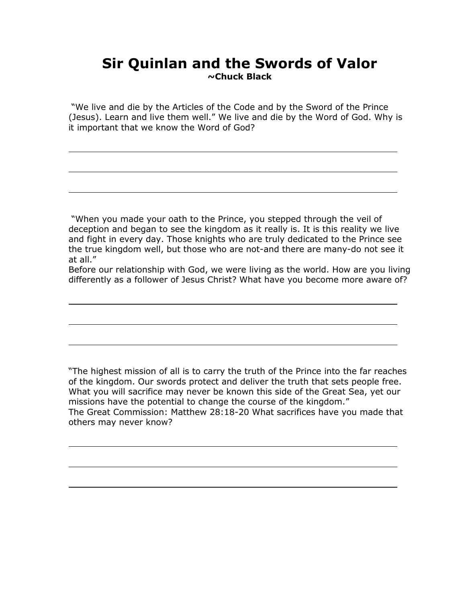## **Sir Quinlan and the Swords of Valor ~Chuck Black**

"We live and die by the Articles of the Code and by the Sword of the Prince (Jesus). Learn and live them well." We live and die by the Word of God. Why is it important that we know the Word of God?

"When you made your oath to the Prince, you stepped through the veil of deception and began to see the kingdom as it really is. It is this reality we live and fight in every day. Those knights who are truly dedicated to the Prince see the true kingdom well, but those who are not-and there are many-do not see it at all."

Before our relationship with God, we were living as the world. How are you living differently as a follower of Jesus Christ? What have you become more aware of?

"The highest mission of all is to carry the truth of the Prince into the far reaches of the kingdom. Our swords protect and deliver the truth that sets people free. What you will sacrifice may never be known this side of the Great Sea, yet our missions have the potential to change the course of the kingdom." The Great Commission: Matthew 28:18-20 What sacrifices have you made that others may never know?